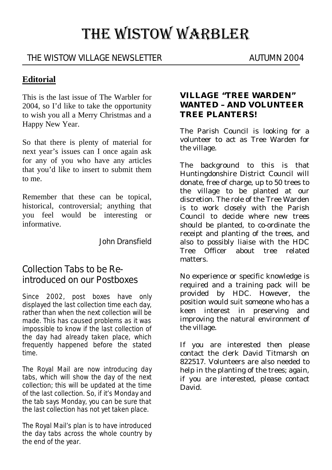# THE WISTOW WARBLER

## THE WISTOW VILLAGE NEWSLETTER AUTUMN 2004

## **Editorial**

This is the last issue of The Warbler for 2004, so I'd like to take the opportunity to wish you all a Merry Christmas and a Happy New Year.

So that there is plenty of material for next year's issues can I once again ask for any of you who have any articles that you'd like to insert to submit them to me.

Remember that these can be topical, historical, controversial; anything that you feel would be interesting or informative.

John Dransfield

# Collection Tabs to be Reintroduced on our Postboxes

Since 2002, post boxes have only displayed the last collection time each day, rather than when the next collection will be made. This has caused problems as it was impossible to know if the last collection of the day had already taken place, which frequently happened before the stated time.

The Royal Mail are now introducing day tabs, which will show the day of the next collection; this will be updated at the time of the last collection. So, if it's Monday and the tab says Monday, you can be sure that the last collection has not yet taken place.

The Royal Mail's plan is to have introduced the day tabs across the whole country by the end of the year.

#### **VILLAGE "TREE WARDEN" WANTED – AND VOLUNTEER TREE PLANTERS!**

The Parish Council is looking for a volunteer to act as Tree Warden for the village.

The background to this is that Huntingdonshire District Council will donate, free of charge, up to 50 trees to the village to be planted at our discretion. The role of the Tree Warden is to work closely with the Parish Council to decide where new trees should be planted, to co-ordinate the receipt and planting of the trees, and also to possibly liaise with the HDC Tree Officer about tree related matters.

No experience or specific knowledge is required and a training pack will be provided by HDC. However, the position would suit someone who has a keen interest in preserving and improving the natural environment of the village.

If you are interested then please contact the clerk David Titmarsh on 822517. Volunteers are also needed to help in the planting of the trees; again, if you are interested, please contact David.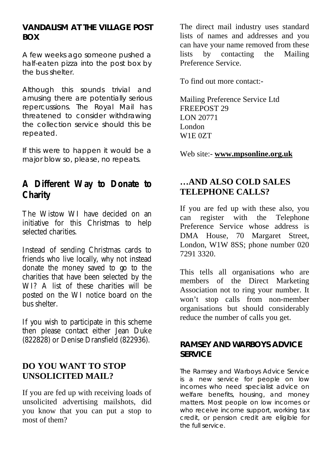#### **VANDALISM AT THE VILLAGE POST BOX**

A few weeks ago someone pushed a half-eaten pizza into the post box by the bus shelter.

Although this sounds trivial and amusing there are potentially serious repercussions. The Royal Mail has threatened to consider withdrawing the collection service should this be repeated.

If this were to happen it would be a major blow so, please, no repeats.

# **A Different Way to Donate to Charity**

The Wistow WI have decided on an initiative for this Christmas to help selected charities.

Instead of sending Christmas cards to friends who live locally, why not instead donate the money saved to go to the charities that have been selected by the WI? A list of these charities will be posted on the WI notice board on the bus shelter.

If you wish to participate in this scheme then please contact either Jean Duke (822828) or Denise Dransfield (822936).

## **DO YOU WANT TO STOP UNSOLICITED MAIL?**

If you are fed up with receiving loads of unsolicited advertising mailshots, did you know that you can put a stop to most of them?

The direct mail industry uses standard lists of names and addresses and you can have your name removed from these lists by contacting the Mailing Preference Service.

To find out more contact:-

Mailing Preference Service Ltd FREEPOST 29 LON 20771 London W1E 0ZT

Web site:- **www.mpsonline.org.uk**

# **…AND ALSO COLD SALES TELEPHONE CALLS?**

If you are fed up with these also, you can register with the Telephone Preference Service whose address is DMA House, 70 Margaret Street, London, W1W 8SS; phone number 020 7291 3320.

This tells all organisations who are members of the Direct Marketing Association not to ring your number. It won't stop calls from non-member organisations but should considerably reduce the number of calls you get.

#### **RAMSEY AND WARBOYS ADVICE SERVICE**

The Ramsey and Warboys Advice Service is a new service for people on low incomes who need specialist advice on welfare benefits, housing, and money matters. Most people on low incomes or who receive income support, working tax credit, or pension credit are eligible for the full service.